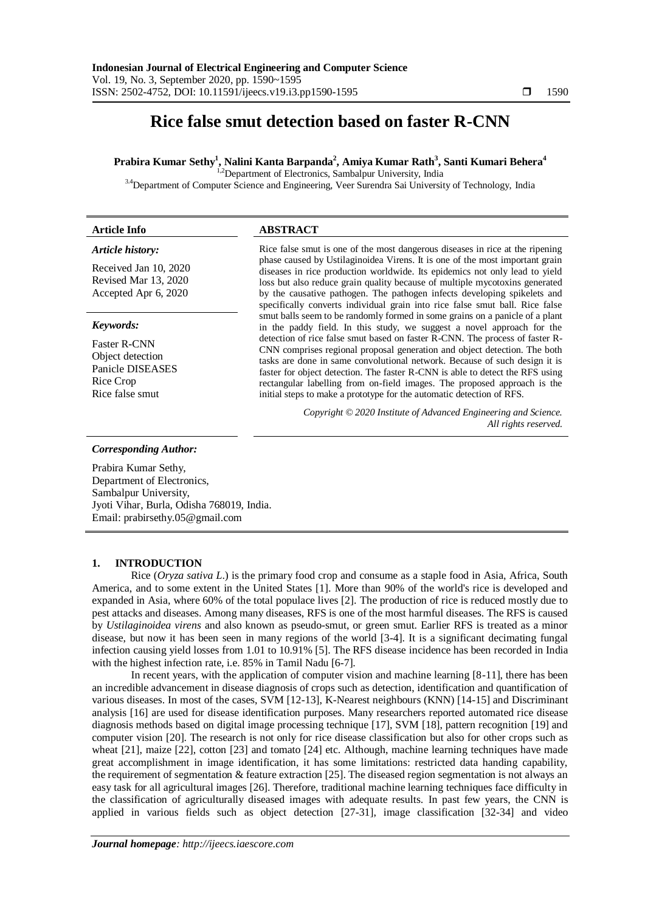# **Rice false smut detection based on faster R-CNN**

# **Prabira Kumar Sethy<sup>1</sup> , Nalini Kanta Barpanda<sup>2</sup> , Amiya Kumar Rath<sup>3</sup> , Santi Kumari Behera<sup>4</sup>**

<sup>1,2</sup>Department of Electronics, Sambalpur University, India

<sup>3.4</sup>Department of Computer Science and Engineering, Veer Surendra Sai University of Technology, India

# **Article Info ABSTRACT**

#### *Article history:*

Received Jan 10, 2020 Revised Mar 13, 2020 Accepted Apr 6, 2020

#### *Keywords:*

Faster R-CNN Object detection Panicle DISEASES Rice Crop Rice false smut

Rice false smut is one of the most dangerous diseases in rice at the ripening phase caused by Ustilaginoidea Virens. It is one of the most important grain diseases in rice production worldwide. Its epidemics not only lead to yield loss but also reduce grain quality because of multiple mycotoxins generated by the causative pathogen. The pathogen infects developing spikelets and specifically converts individual grain into rice false smut ball. Rice false smut balls seem to be randomly formed in some grains on a panicle of a plant in the paddy field. In this study, we suggest a novel approach for the detection of rice false smut based on faster R-CNN. The process of faster R-CNN comprises regional proposal generation and object detection. The both tasks are done in same convolutional network. Because of such design it is faster for object detection. The faster R-CNN is able to detect the RFS using rectangular labelling from on-field images. The proposed approach is the initial steps to make a prototype for the automatic detection of RFS.

> *Copyright © 2020 Institute of Advanced Engineering and Science. All rights reserved.*

#### *Corresponding Author:*

Prabira Kumar Sethy, Department of Electronics, Sambalpur University, Jyoti Vihar, Burla, Odisha 768019, India. Email: prabirsethy.05@gmail.com

#### **1. INTRODUCTION**

Rice (*Oryza sativa L*.) is the primary food crop and consume as a staple food in Asia, Africa, South America, and to some extent in the United States [1]. More than 90% of the world's rice is developed and expanded in Asia, where 60% of the total populace lives [2]. The production of rice is reduced mostly due to pest attacks and diseases. Among many diseases, RFS is one of the most harmful diseases. The RFS is caused by *Ustilaginoidea virens* and also known as pseudo-smut, or green smut. Earlier RFS is treated as a minor disease, but now it has been seen in many regions of the world [3-4]. It is a significant decimating fungal infection causing yield losses from 1.01 to 10.91% [5]. The RFS disease incidence has been recorded in India with the highest infection rate, i.e. 85% in Tamil Nadu [6-7].

In recent years, with the application of computer vision and machine learning [8-11], there has been an incredible advancement in disease diagnosis of crops such as detection, identification and quantification of various diseases. In most of the cases, SVM [12-13], K-Nearest neighbours (KNN) [14-15] and Discriminant analysis [16] are used for disease identification purposes. Many researchers reported automated rice disease diagnosis methods based on digital image processing technique [17], SVM [18], pattern recognition [19] and computer vision [20]. The research is not only for rice disease classification but also for other crops such as wheat [21], maize [22], cotton [23] and tomato [24] etc. Although, machine learning techniques have made great accomplishment in image identification, it has some limitations: restricted data handing capability, the requirement of segmentation  $&$  feature extraction [25]. The diseased region segmentation is not always an easy task for all agricultural images [26]. Therefore, traditional machine learning techniques face difficulty in the classification of agriculturally diseased images with adequate results. In past few years, the CNN is applied in various fields such as object detection [27-31], image classification [32-34] and video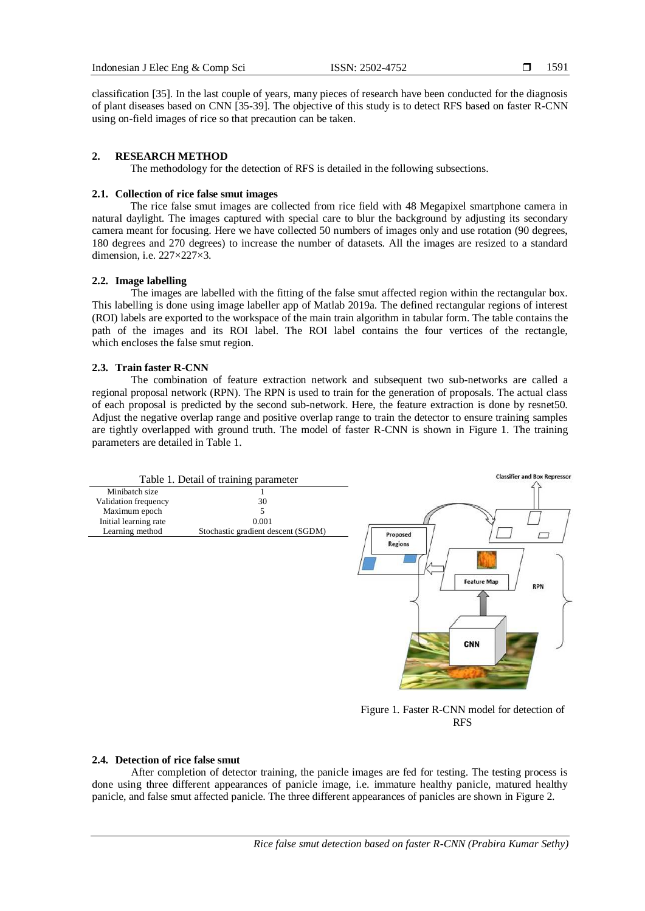classification [35]. In the last couple of years, many pieces of research have been conducted for the diagnosis of plant diseases based on CNN [35-39]. The objective of this study is to detect RFS based on faster R-CNN using on-field images of rice so that precaution can be taken.

## **2. RESEARCH METHOD**

The methodology for the detection of RFS is detailed in the following subsections.

#### **2.1. Collection of rice false smut images**

The rice false smut images are collected from rice field with 48 Megapixel smartphone camera in natural daylight. The images captured with special care to blur the background by adjusting its secondary camera meant for focusing. Here we have collected 50 numbers of images only and use rotation (90 degrees, 180 degrees and 270 degrees) to increase the number of datasets. All the images are resized to a standard dimension, i.e. 227×227×3.

#### **2.2. Image labelling**

The images are labelled with the fitting of the false smut affected region within the rectangular box. This labelling is done using image labeller app of Matlab 2019a. The defined rectangular regions of interest (ROI) labels are exported to the workspace of the main train algorithm in tabular form. The table contains the path of the images and its ROI label. The ROI label contains the four vertices of the rectangle, which encloses the false smut region.

#### **2.3. Train faster R-CNN**

The combination of feature extraction network and subsequent two sub-networks are called a regional proposal network (RPN). The RPN is used to train for the generation of proposals. The actual class of each proposal is predicted by the second sub-network. Here, the feature extraction is done by resnet50. Adjust the negative overlap range and positive overlap range to train the detector to ensure training samples are tightly overlapped with ground truth. The model of faster R-CNN is shown in Figure 1. The training parameters are detailed in Table 1.



Figure 1. Faster R-CNN model for detection of RFS

## **2.4. Detection of rice false smut**

After completion of detector training, the panicle images are fed for testing. The testing process is done using three different appearances of panicle image, i.e. immature healthy panicle, matured healthy panicle, and false smut affected panicle. The three different appearances of panicles are shown in Figure 2.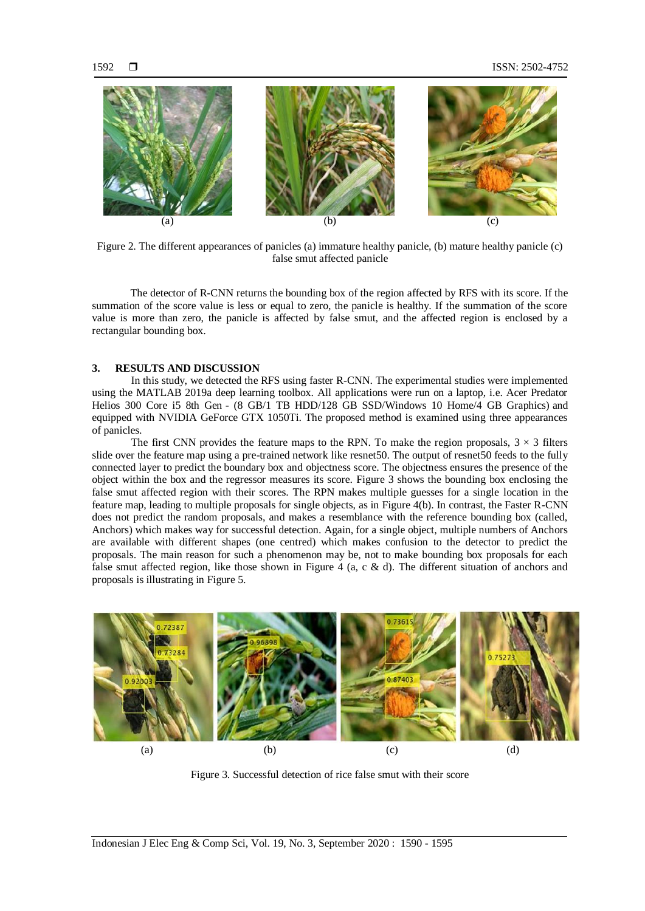

Figure 2. The different appearances of panicles (a) immature healthy panicle, (b) mature healthy panicle (c) false smut affected panicle

The detector of R-CNN returns the bounding box of the region affected by RFS with its score. If the summation of the score value is less or equal to zero, the panicle is healthy. If the summation of the score value is more than zero, the panicle is affected by false smut, and the affected region is enclosed by a rectangular bounding box.

## **3. RESULTS AND DISCUSSION**

In this study, we detected the RFS using faster R-CNN. The experimental studies were implemented using the MATLAB 2019a deep learning toolbox. All applications were run on a laptop, i.e. Acer Predator Helios 300 Core i5 8th Gen - (8 GB/1 TB HDD/128 GB SSD/Windows 10 Home/4 GB Graphics) and equipped with NVIDIA GeForce GTX 1050Ti. The proposed method is examined using three appearances of panicles.

The first CNN provides the feature maps to the RPN. To make the region proposals,  $3 \times 3$  filters slide over the feature map using a pre-trained network like resnet50. The output of resnet50 feeds to the fully connected layer to predict the boundary box and objectness score. The objectness ensures the presence of the object within the box and the regressor measures its score. Figure 3 shows the bounding box enclosing the false smut affected region with their scores. The RPN makes multiple guesses for a single location in the feature map, leading to multiple proposals for single objects, as in Figure 4(b). In contrast, the Faster R-CNN does not predict the random proposals, and makes a resemblance with the reference bounding box (called, Anchors) which makes way for successful detection. Again, for a single object, multiple numbers of Anchors are available with different shapes (one centred) which makes confusion to the detector to predict the proposals. The main reason for such a phenomenon may be, not to make bounding box proposals for each false smut affected region, like those shown in Figure 4 (a, c & d). The different situation of anchors and proposals is illustrating in Figure 5.



Figure 3. Successful detection of rice false smut with their score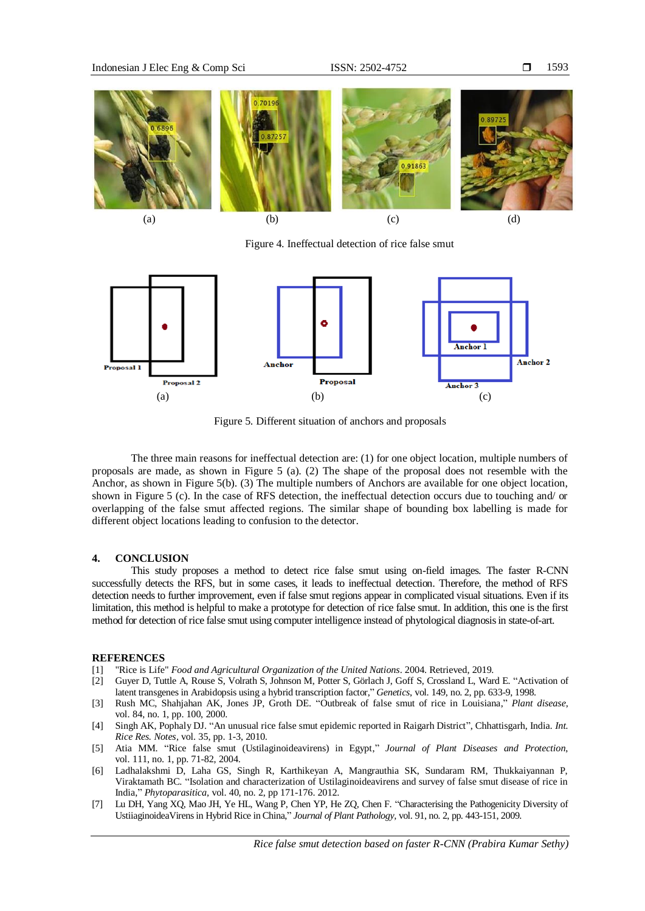

Figure 4. Ineffectual detection of rice false smut



Figure 5. Different situation of anchors and proposals

The three main reasons for ineffectual detection are: (1) for one object location, multiple numbers of proposals are made, as shown in Figure 5 (a). (2) The shape of the proposal does not resemble with the Anchor, as shown in Figure 5(b). (3) The multiple numbers of Anchors are available for one object location, shown in Figure 5 (c). In the case of RFS detection, the ineffectual detection occurs due to touching and/ or overlapping of the false smut affected regions. The similar shape of bounding box labelling is made for different object locations leading to confusion to the detector.

#### **4. CONCLUSION**

This study proposes a method to detect rice false smut using on-field images. The faster R-CNN successfully detects the RFS, but in some cases, it leads to ineffectual detection. Therefore, the method of RFS detection needs to further improvement, even if false smut regions appear in complicated visual situations. Even if its limitation, this method is helpful to make a prototype for detection of rice false smut. In addition, this one is the first method for detection of rice false smut using computer intelligence instead of phytological diagnosis in state-of-art.

#### **REFERENCES**

- [1] "Rice is Life" *Food and Agricultural Organization of the United Nations*. 2004. Retrieved, 2019.
- [2] Guyer D, Tuttle A, Rouse S, Volrath S, Johnson M, Potter S, Görlach J, Goff S, Crossland L, Ward E. "Activation of latent transgenes in Arabidopsis using a hybrid transcription factor," *Genetics*, vol. 149, no. 2, pp. 633-9, 1998.
- [3] Rush MC, Shahjahan AK, Jones JP, Groth DE. "Outbreak of false smut of rice in Louisiana," *Plant disease*, vol. 84, no. 1, pp. 100, 2000.
- [4] Singh AK, Pophaly DJ. "An unusual rice false smut epidemic reported in Raigarh District", Chhattisgarh, India*. Int. Rice Res. Notes,* vol. 35, pp. 1-3, 2010.
- [5] Atia MM. "Rice false smut (Ustilaginoideavirens) in Egypt," *Journal of Plant Diseases and Protection*, vol. 111, no. 1, pp. 71-82, 2004.
- [6] Ladhalakshmi D, Laha GS, Singh R, Karthikeyan A, Mangrauthia SK, Sundaram RM, Thukkaiyannan P, Viraktamath BC. "Isolation and characterization of Ustilaginoideavirens and survey of false smut disease of rice in India," *Phytoparasitica,* vol. 40, no. 2, pp 171-176. 2012.
- [7] Lu DH, Yang XQ, Mao JH, Ye HL, Wang P, Chen YP, He ZQ, Chen F. "Characterising the Pathogenicity Diversity of UstiiaginoideaVirens in Hybrid Rice in China," *Journal of Plant Pathology,* vol. 91, no. 2, pp. 443-151, 2009.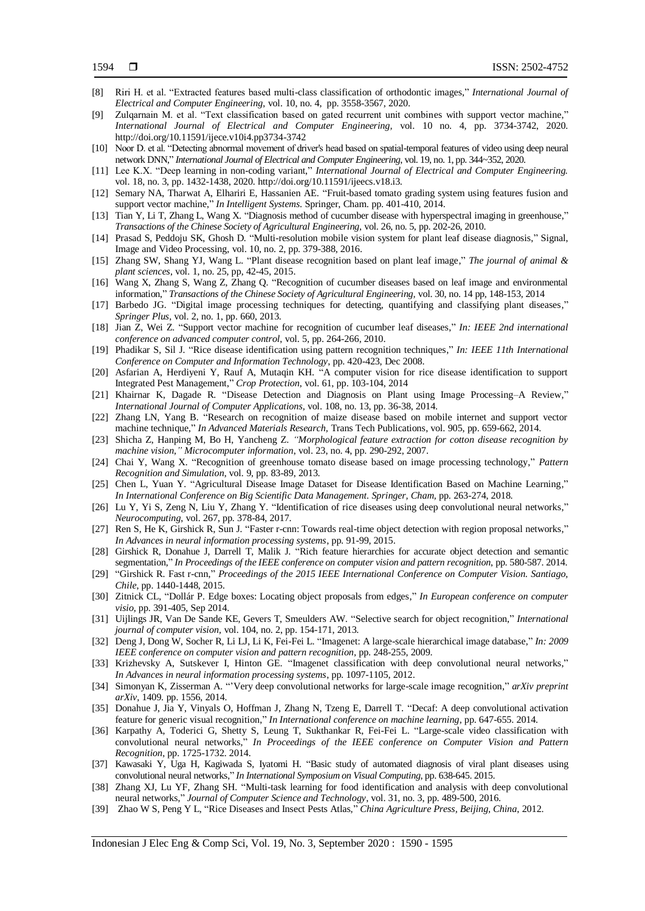- [8] Riri H. et al. "Extracted features based multi-class classification of orthodontic images," *International Journal of Electrical and Computer Engineering*, [vol.](https://search.proquest.com/indexingvolumeissuelinkhandler/1686344/International+Journal+of+Electrical+and+Computer+Engineering/02020Y08Y01$23Aug+2020$3b++Vol.+10+$284$29/10/4;jsessionid=8FB8B7335EAC0331CCF4D541E9BF2845.i-06b87155c6241e974) 10, no. 4, pp. 3558-3567, 2020.
- [9] Zulqarnain M. et al. "Text classification based on gated recurrent unit combines with support vector machine," *International Journal of Electrical and Computer Engineering,* vol. 10 no. 4, pp. 3734-3742, 2020. http://doi.org/10.11591/ijece.v10i4.pp3734-3742
- [10] Noor D. et al. "Detecting abnormal movement of driver's head based on spatial-temporal features of video using deep neural network DNN," *International Journal of Electrical and Computer Engineering*, vol. 19, no. 1, pp. 344~352, 2020.
- [11] Lee K.X. "Deep learning in non-coding variant," *International Journal of Electrical and Computer Engineering.* vol. 18, no. 3, pp. 1432-1438, 2020. http://doi.org/10.11591/ijeecs.v18.i3.
- [12] Semary NA, Tharwat A, Elhariri E, Hassanien AE. "Fruit-based tomato grading system using features fusion and support vector machine," *In Intelligent Systems*. Springer, Cham. pp. 401-410, 2014.
- [13] Tian Y, Li T, Zhang L, Wang X. "Diagnosis method of cucumber disease with hyperspectral imaging in greenhouse," *Transactions of the Chinese Society of Agricultural Engineering*, vol. 26, no. 5, pp. 202-26, 2010.
- [14] Prasad S, Peddoju SK, Ghosh D. "Multi-resolution mobile vision system for plant leaf disease diagnosis," Signal, Image and Video Processing, vol. 10, no. 2, pp. 379-388, 2016.
- [15] Zhang SW, Shang YJ, Wang L. "Plant disease recognition based on plant leaf image," *The journal of animal & plant sciences*, vol. 1, no. 25, pp, 42-45, 2015.
- [16] Wang X, Zhang S, Wang Z, Zhang Q. "Recognition of cucumber diseases based on leaf image and environmental information," *Transactions of the Chinese Society of Agricultural Engineering,* vol. 30, no. 14 pp, 148-153, 2014
- [17] Barbedo JG. "Digital image processing techniques for detecting, quantifying and classifying plant diseases," *Springer Plus*, vol. 2, no. 1, pp. 660, 2013.
- [18] Jian Z, Wei Z. "Support vector machine for recognition of cucumber leaf diseases," *In: IEEE 2nd international conference on advanced computer control*, vol. 5, pp. 264-266, 2010.
- [19] Phadikar S, Sil J. "Rice disease identification using pattern recognition techniques," *In: IEEE 11th International Conference on Computer and Information Technology*, pp. 420-423, Dec 2008.
- [20] Asfarian A, Herdiyeni Y, Rauf A, Mutaqin KH. "A computer vision for rice disease identification to support Integrated Pest Management," *Crop Protection*, vol. 61, pp. 103-104, 2014
- [21] Khairnar K, Dagade R. "Disease Detection and Diagnosis on Plant using Image Processing–A Review," *International Journal of Computer Applications,* vol. 108, no. 13, pp. 36-38, 2014.
- [22] Zhang LN, Yang B. "Research on recognition of maize disease based on mobile internet and support vector machine technique," *In Advanced Materials Research,* Trans Tech Publications, vol. 905, pp. 659-662, 2014.
- [23] Shicha Z, Hanping M, Bo H, Yancheng Z. *"Morphological feature extraction for cotton disease recognition by machine vision," Microcomputer information*, vol. 23, no. 4, pp. 290-292, 2007.
- [24] Chai Y, Wang X. "Recognition of greenhouse tomato disease based on image processing technology," *Pattern Recognition and Simulation*, vol. 9, pp. 83-89, 2013.
- [25] Chen L, Yuan Y. "Agricultural Disease Image Dataset for Disease Identification Based on Machine Learning," *In International Conference on Big Scientific Data Management. Springer, Cham,* pp. 263-274, 2018.
- [26] Lu Y, Yi S, Zeng N, Liu Y, Zhang Y. "Identification of rice diseases using deep convolutional neural networks," *Neurocomputing*, vol. 267, pp. 378-84, 2017.
- [27] Ren S, He K, Girshick R, Sun J. "Faster r-cnn: Towards real-time object detection with region proposal networks," *In Advances in neural information processing systems,* pp. 91-99, 2015.
- [28] Girshick R, Donahue J, Darrell T, Malik J. "Rich feature hierarchies for accurate object detection and semantic segmentation," *In Proceedings of the IEEE conference on computer vision and pattern recognition*, pp. 580-587. 2014.
- [29] "Girshick R. Fast r-cnn," *Proceedings of the 2015 IEEE International Conference on Computer Vision. Santiago, Chile*, pp. 1440-1448, 2015.
- [30] Zitnick CL, "Dollár P. Edge boxes: Locating object proposals from edges," *In European conference on computer visio,* pp. 391-405, Sep 2014.
- [31] Uijlings JR, Van De Sande KE, Gevers T, Smeulders AW. "Selective search for object recognition," *International journal of computer vision,* vol. 104, no. 2, pp. 154-171, 2013.
- [32] Deng J, Dong W, Socher R, Li LJ, Li K, Fei-Fei L. "Imagenet: A large-scale hierarchical image database," *In: 2009 IEEE conference on computer vision and pattern recognition,* pp. 248-255, 2009.
- [33] Krizhevsky A, Sutskever I, Hinton GE. "Imagenet classification with deep convolutional neural networks," *In Advances in neural information processing systems*, pp. 1097-1105, 2012.
- [34] Simonyan K, Zisserman A. "'Very deep convolutional networks for large-scale image recognition," *arXiv preprint arXiv,* 1409. pp. 1556, 2014.
- [35] Donahue J, Jia Y, Vinyals O, Hoffman J, Zhang N, Tzeng E, Darrell T. "Decaf: A deep convolutional activation feature for generic visual recognition," *In International conference on machine learning,* pp. 647-655. 2014.
- [36] Karpathy A, Toderici G, Shetty S, Leung T, Sukthankar R, Fei-Fei L. "Large-scale video classification with convolutional neural networks," *In Proceedings of the IEEE conference on Computer Vision and Pattern Recognition*, pp. 1725-1732. 2014.
- [37] Kawasaki Y, Uga H, Kagiwada S, Iyatomi H. "Basic study of automated diagnosis of viral plant diseases using convolutional neural networks," *In International Symposium on Visual Computing,* pp. 638-645. 2015.
- [38] Zhang XJ, Lu YF, Zhang SH. "Multi-task learning for food identification and analysis with deep convolutional neural networks," *Journal of Computer Science and Technology*, vol. 31, no. 3, pp. 489-500, 2016.
- [39] Zhao W S, Peng Y L, "Rice Diseases and Insect Pests Atlas," *China Agriculture Press, Beijing, China*, 2012.